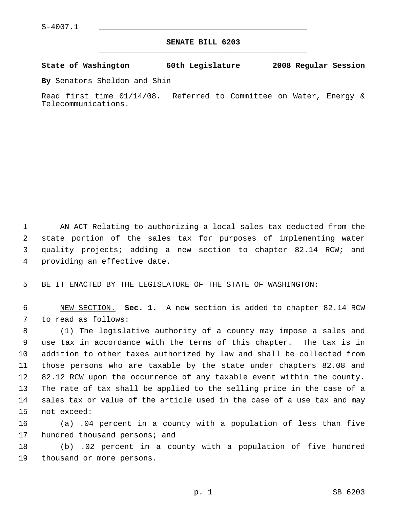## **SENATE BILL 6203** \_\_\_\_\_\_\_\_\_\_\_\_\_\_\_\_\_\_\_\_\_\_\_\_\_\_\_\_\_\_\_\_\_\_\_\_\_\_\_\_\_\_\_\_\_

**State of Washington 60th Legislature 2008 Regular Session**

**By** Senators Sheldon and Shin

Read first time 01/14/08. Referred to Committee on Water, Energy & Telecommunications.

 AN ACT Relating to authorizing a local sales tax deducted from the state portion of the sales tax for purposes of implementing water quality projects; adding a new section to chapter 82.14 RCW; and providing an effective date.

BE IT ENACTED BY THE LEGISLATURE OF THE STATE OF WASHINGTON:

 NEW SECTION. **Sec. 1.** A new section is added to chapter 82.14 RCW to read as follows:

 (1) The legislative authority of a county may impose a sales and use tax in accordance with the terms of this chapter. The tax is in addition to other taxes authorized by law and shall be collected from those persons who are taxable by the state under chapters 82.08 and 82.12 RCW upon the occurrence of any taxable event within the county. The rate of tax shall be applied to the selling price in the case of a sales tax or value of the article used in the case of a use tax and may not exceed:

 (a) .04 percent in a county with a population of less than five 17 hundred thousand persons; and

 (b) .02 percent in a county with a population of five hundred thousand or more persons.